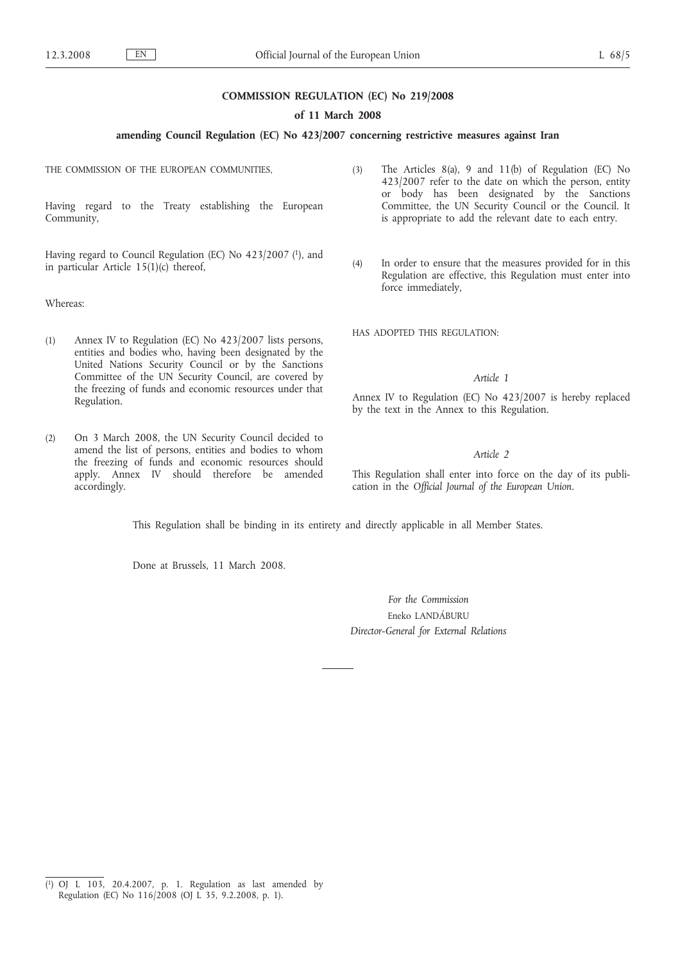# **COMMISSION REGULATION (EC) No 219/2008**

## **of 11 March 2008**

## **amending Council Regulation (EC) No 423/2007 concerning restrictive measures against Iran**

THE COMMISSION OF THE EUROPEAN COMMUNITIES,

Having regard to the Treaty establishing the European Community,

Having regard to Council Regulation (EC) No 423/2007 (1), and in particular Article 15(1)(c) thereof,

Whereas:

- (1) Annex IV to Regulation (EC) No 423/2007 lists persons, entities and bodies who, having been designated by the United Nations Security Council or by the Sanctions Committee of the UN Security Council, are covered by the freezing of funds and economic resources under that Regulation.
- (2) On 3 March 2008, the UN Security Council decided to amend the list of persons, entities and bodies to whom the freezing of funds and economic resources should apply. Annex IV should therefore be amended accordingly.
- (3) The Articles 8(a), 9 and 11(b) of Regulation (EC) No 423/2007 refer to the date on which the person, entity or body has been designated by the Sanctions Committee, the UN Security Council or the Council. It is appropriate to add the relevant date to each entry.
- (4) In order to ensure that the measures provided for in this Regulation are effective, this Regulation must enter into force immediately,

HAS ADOPTED THIS REGULATION:

### *Article 1*

Annex IV to Regulation (EC) No 423/2007 is hereby replaced by the text in the Annex to this Regulation.

## *Article 2*

This Regulation shall enter into force on the day of its publication in the *Official Journal of the European Union*.

This Regulation shall be binding in its entirety and directly applicable in all Member States.

Done at Brussels, 11 March 2008.

*For the Commission* Eneko LANDÁBURU *Director-General for External Relations*

<sup>(</sup> 1) OJ L 103, 20.4.2007, p. 1. Regulation as last amended by Regulation (EC) No 116/2008 (OJ L 35, 9.2.2008, p. 1).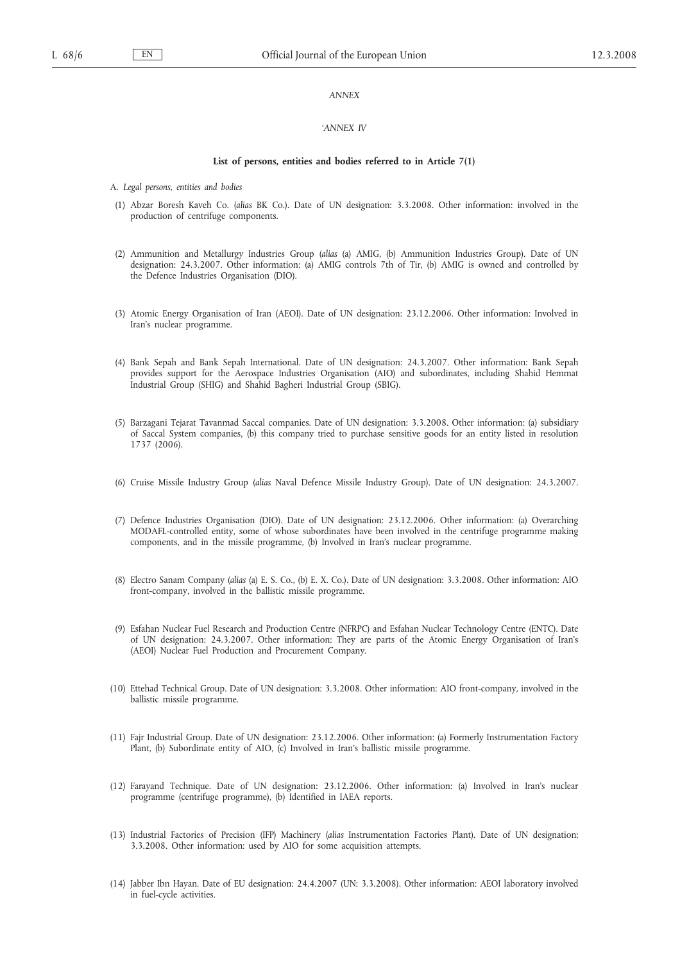### *ANNEX*

#### *'ANNEX IV*

# **List of persons, entities and bodies referred to in Article 7(1)**

A. *Legal persons, entities and bodies*

- (1) Abzar Boresh Kaveh Co. (*alias* BK Co.). Date of UN designation: 3.3.2008. Other information: involved in the production of centrifuge components.
- (2) Ammunition and Metallurgy Industries Group (*alias* (a) AMIG, (b) Ammunition Industries Group). Date of UN designation: 24.3.2007. Other information: (a) AMIG controls 7th of Tir, (b) AMIG is owned and controlled by the Defence Industries Organisation (DIO).
- (3) Atomic Energy Organisation of Iran (AEOI). Date of UN designation: 23.12.2006. Other information: Involved in Iran's nuclear programme.
- (4) Bank Sepah and Bank Sepah International. Date of UN designation: 24.3.2007. Other information: Bank Sepah provides support for the Aerospace Industries Organisation (AIO) and subordinates, including Shahid Hemmat Industrial Group (SHIG) and Shahid Bagheri Industrial Group (SBIG).
- (5) Barzagani Tejarat Tavanmad Saccal companies. Date of UN designation: 3.3.2008. Other information: (a) subsidiary of Saccal System companies, (b) this company tried to purchase sensitive goods for an entity listed in resolution 1737 (2006).
- (6) Cruise Missile Industry Group (*alias* Naval Defence Missile Industry Group). Date of UN designation: 24.3.2007.
- (7) Defence Industries Organisation (DIO). Date of UN designation: 23.12.2006. Other information: (a) Overarching MODAFL-controlled entity, some of whose subordinates have been involved in the centrifuge programme making components, and in the missile programme, (b) Involved in Iran's nuclear programme.
- (8) Electro Sanam Company (*alias* (a) E. S. Co., (b) E. X. Co.). Date of UN designation: 3.3.2008. Other information: AIO front-company, involved in the ballistic missile programme.
- (9) Esfahan Nuclear Fuel Research and Production Centre (NFRPC) and Esfahan Nuclear Technology Centre (ENTC). Date of UN designation: 24.3.2007. Other information: They are parts of the Atomic Energy Organisation of Iran's (AEOI) Nuclear Fuel Production and Procurement Company.
- (10) Ettehad Technical Group. Date of UN designation: 3.3.2008. Other information: AIO front-company, involved in the ballistic missile programme.
- (11) Fajr Industrial Group. Date of UN designation: 23.12.2006. Other information: (a) Formerly Instrumentation Factory Plant, (b) Subordinate entity of AIO, (c) Involved in Iran's ballistic missile programme.
- (12) Farayand Technique. Date of UN designation: 23.12.2006. Other information: (a) Involved in Iran's nuclear programme (centrifuge programme), (b) Identified in IAEA reports.
- (13) Industrial Factories of Precision (IFP) Machinery (*alias* Instrumentation Factories Plant). Date of UN designation: 3.3.2008. Other information: used by AIO for some acquisition attempts.
- (14) Jabber Ibn Hayan. Date of EU designation: 24.4.2007 (UN: 3.3.2008). Other information: AEOI laboratory involved in fuel-cycle activities.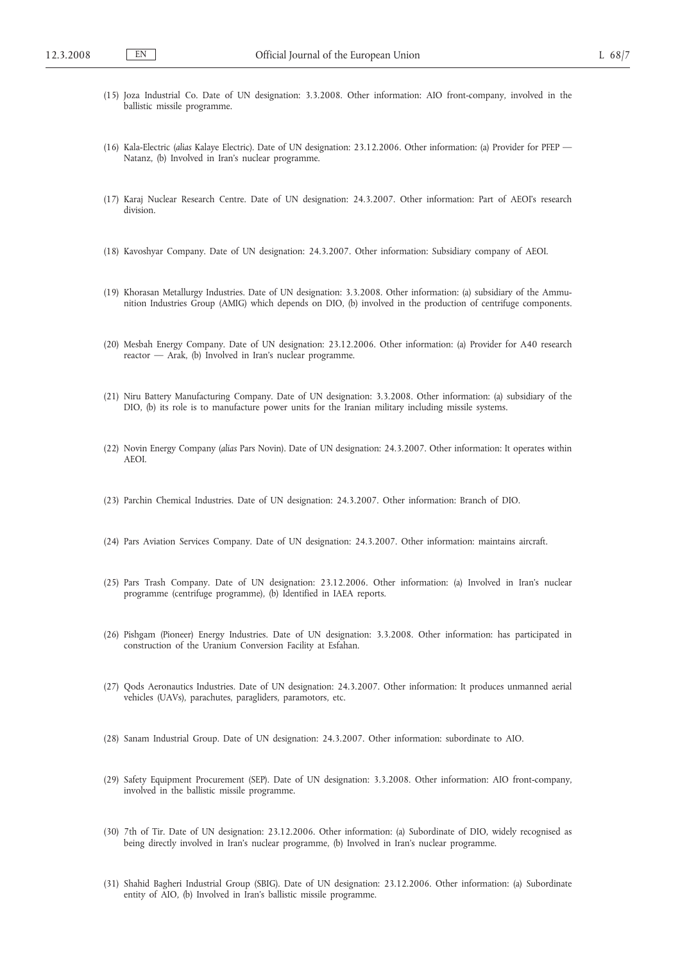- (15) Joza Industrial Co. Date of UN designation: 3.3.2008. Other information: AIO front-company, involved in the ballistic missile programme.
- (16) Kala-Electric (*alias* Kalaye Electric). Date of UN designation: 23.12.2006. Other information: (a) Provider for PFEP Natanz, (b) Involved in Iran's nuclear programme.
- (17) Karaj Nuclear Research Centre. Date of UN designation: 24.3.2007. Other information: Part of AEOI's research division.
- (18) Kavoshyar Company. Date of UN designation: 24.3.2007. Other information: Subsidiary company of AEOI.
- (19) Khorasan Metallurgy Industries. Date of UN designation: 3.3.2008. Other information: (a) subsidiary of the Ammunition Industries Group (AMIG) which depends on DIO, (b) involved in the production of centrifuge components.
- (20) Mesbah Energy Company. Date of UN designation: 23.12.2006. Other information: (a) Provider for A40 research reactor — Arak, (b) Involved in Iran's nuclear programme.
- (21) Niru Battery Manufacturing Company. Date of UN designation: 3.3.2008. Other information: (a) subsidiary of the DIO, (b) its role is to manufacture power units for the Iranian military including missile systems.
- (22) Novin Energy Company (*alias* Pars Novin). Date of UN designation: 24.3.2007. Other information: It operates within AEOI.
- (23) Parchin Chemical Industries. Date of UN designation: 24.3.2007. Other information: Branch of DIO.
- (24) Pars Aviation Services Company. Date of UN designation: 24.3.2007. Other information: maintains aircraft.
- (25) Pars Trash Company. Date of UN designation: 23.12.2006. Other information: (a) Involved in Iran's nuclear programme (centrifuge programme), (b) Identified in IAEA reports.
- (26) Pishgam (Pioneer) Energy Industries. Date of UN designation: 3.3.2008. Other information: has participated in construction of the Uranium Conversion Facility at Esfahan.
- (27) Qods Aeronautics Industries. Date of UN designation: 24.3.2007. Other information: It produces unmanned aerial vehicles (UAVs), parachutes, paragliders, paramotors, etc.
- (28) Sanam Industrial Group. Date of UN designation: 24.3.2007. Other information: subordinate to AIO.
- (29) Safety Equipment Procurement (SEP). Date of UN designation: 3.3.2008. Other information: AIO front-company, involved in the ballistic missile programme.
- (30) 7th of Tir. Date of UN designation: 23.12.2006. Other information: (a) Subordinate of DIO, widely recognised as being directly involved in Iran's nuclear programme, (b) Involved in Iran's nuclear programme.
- (31) Shahid Bagheri Industrial Group (SBIG). Date of UN designation: 23.12.2006. Other information: (a) Subordinate entity of AIO, (b) Involved in Iran's ballistic missile programme.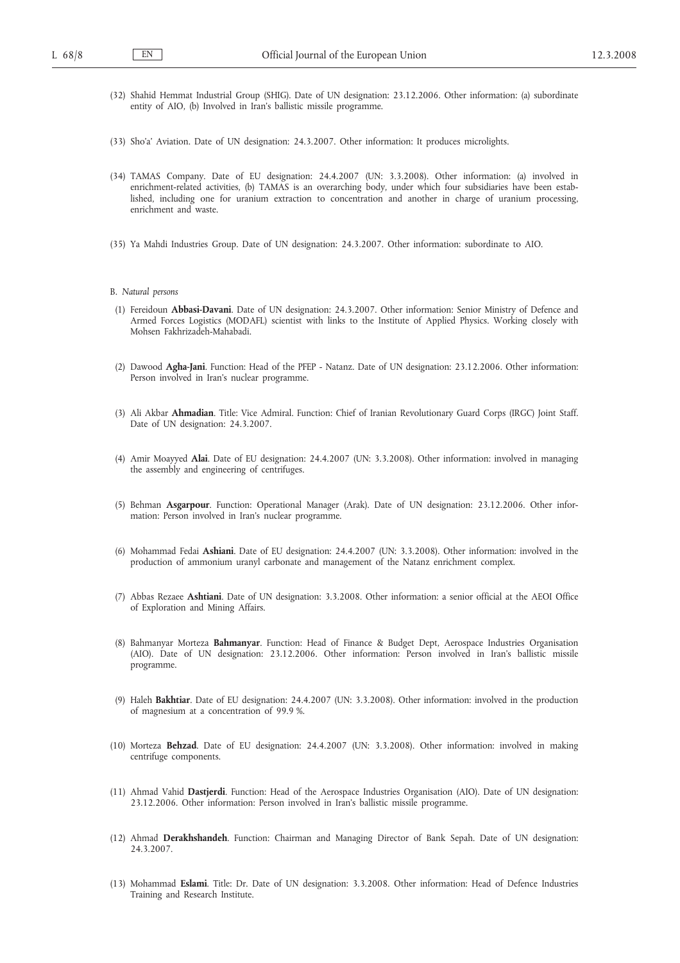- (32) Shahid Hemmat Industrial Group (SHIG). Date of UN designation: 23.12.2006. Other information: (a) subordinate entity of AIO, (b) Involved in Iran's ballistic missile programme.
- (33) Sho'a' Aviation. Date of UN designation: 24.3.2007. Other information: It produces microlights.
- (34) TAMAS Company. Date of EU designation: 24.4.2007 (UN: 3.3.2008). Other information: (a) involved in enrichment-related activities, (b) TAMAS is an overarching body, under which four subsidiaries have been established, including one for uranium extraction to concentration and another in charge of uranium processing, enrichment and waste.
- (35) Ya Mahdi Industries Group. Date of UN designation: 24.3.2007. Other information: subordinate to AIO.
- B. *Natural persons*
- (1) Fereidoun **Abbasi-Davani**. Date of UN designation: 24.3.2007. Other information: Senior Ministry of Defence and Armed Forces Logistics (MODAFL) scientist with links to the Institute of Applied Physics. Working closely with Mohsen Fakhrizadeh-Mahabadi.
- (2) Dawood **Agha-Jani**. Function: Head of the PFEP Natanz. Date of UN designation: 23.12.2006. Other information: Person involved in Iran's nuclear programme.
- (3) Ali Akbar **Ahmadian**. Title: Vice Admiral. Function: Chief of Iranian Revolutionary Guard Corps (IRGC) Joint Staff. Date of UN designation: 24.3.2007.
- (4) Amir Moayyed **Alai**. Date of EU designation: 24.4.2007 (UN: 3.3.2008). Other information: involved in managing the assembly and engineering of centrifuges.
- (5) Behman **Asgarpour**. Function: Operational Manager (Arak). Date of UN designation: 23.12.2006. Other information: Person involved in Iran's nuclear programme.
- (6) Mohammad Fedai **Ashiani**. Date of EU designation: 24.4.2007 (UN: 3.3.2008). Other information: involved in the production of ammonium uranyl carbonate and management of the Natanz enrichment complex.
- (7) Abbas Rezaee **Ashtiani**. Date of UN designation: 3.3.2008. Other information: a senior official at the AEOI Office of Exploration and Mining Affairs.
- (8) Bahmanyar Morteza **Bahmanyar**. Function: Head of Finance & Budget Dept, Aerospace Industries Organisation (AIO). Date of UN designation: 23.12.2006. Other information: Person involved in Iran's ballistic missile programme.
- (9) Haleh **Bakhtiar**. Date of EU designation: 24.4.2007 (UN: 3.3.2008). Other information: involved in the production of magnesium at a concentration of 99.9 %.
- (10) Morteza **Behzad**. Date of EU designation: 24.4.2007 (UN: 3.3.2008). Other information: involved in making centrifuge components.
- (11) Ahmad Vahid **Dastjerdi**. Function: Head of the Aerospace Industries Organisation (AIO). Date of UN designation: 23.12.2006. Other information: Person involved in Iran's ballistic missile programme.
- (12) Ahmad **Derakhshandeh**. Function: Chairman and Managing Director of Bank Sepah. Date of UN designation: 24.3.2007.
- (13) Mohammad **Eslami**. Title: Dr. Date of UN designation: 3.3.2008. Other information: Head of Defence Industries Training and Research Institute.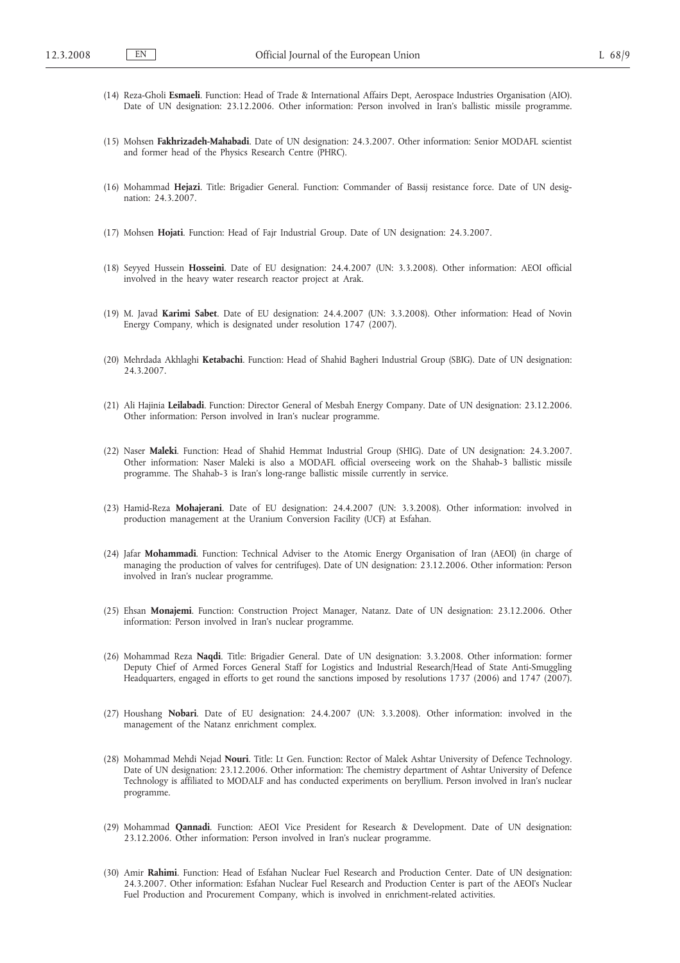- (14) Reza-Gholi **Esmaeli**. Function: Head of Trade & International Affairs Dept, Aerospace Industries Organisation (AIO). Date of UN designation: 23.12.2006. Other information: Person involved in Iran's ballistic missile programme.
- (15) Mohsen **Fakhrizadeh-Mahabadi**. Date of UN designation: 24.3.2007. Other information: Senior MODAFL scientist and former head of the Physics Research Centre (PHRC).
- (16) Mohammad **Hejazi**. Title: Brigadier General. Function: Commander of Bassij resistance force. Date of UN designation: 24.3.2007.
- (17) Mohsen **Hojati**. Function: Head of Fajr Industrial Group. Date of UN designation: 24.3.2007.
- (18) Seyyed Hussein **Hosseini**. Date of EU designation: 24.4.2007 (UN: 3.3.2008). Other information: AEOI official involved in the heavy water research reactor project at Arak.
- (19) M. Javad **Karimi Sabet**. Date of EU designation: 24.4.2007 (UN: 3.3.2008). Other information: Head of Novin Energy Company, which is designated under resolution 1747 (2007).
- (20) Mehrdada Akhlaghi **Ketabachi**. Function: Head of Shahid Bagheri Industrial Group (SBIG). Date of UN designation: 24.3.2007.
- (21) Ali Hajinia **Leilabadi**. Function: Director General of Mesbah Energy Company. Date of UN designation: 23.12.2006. Other information: Person involved in Iran's nuclear programme.
- (22) Naser **Maleki**. Function: Head of Shahid Hemmat Industrial Group (SHIG). Date of UN designation: 24.3.2007. Other information: Naser Maleki is also a MODAFL official overseeing work on the Shahab-3 ballistic missile programme. The Shahab-3 is Iran's long-range ballistic missile currently in service.
- (23) Hamid-Reza **Mohajerani**. Date of EU designation: 24.4.2007 (UN: 3.3.2008). Other information: involved in production management at the Uranium Conversion Facility (UCF) at Esfahan.
- (24) Jafar **Mohammadi**. Function: Technical Adviser to the Atomic Energy Organisation of Iran (AEOI) (in charge of managing the production of valves for centrifuges). Date of UN designation: 23.12.2006. Other information: Person involved in Iran's nuclear programme.
- (25) Ehsan **Monajemi**. Function: Construction Project Manager, Natanz. Date of UN designation: 23.12.2006. Other information: Person involved in Iran's nuclear programme.
- (26) Mohammad Reza **Naqdi**. Title: Brigadier General. Date of UN designation: 3.3.2008. Other information: former Deputy Chief of Armed Forces General Staff for Logistics and Industrial Research/Head of State Anti-Smuggling Headquarters, engaged in efforts to get round the sanctions imposed by resolutions 1737 (2006) and 1747 (2007).
- (27) Houshang **Nobari**. Date of EU designation: 24.4.2007 (UN: 3.3.2008). Other information: involved in the management of the Natanz enrichment complex.
- (28) Mohammad Mehdi Nejad **Nouri**. Title: Lt Gen. Function: Rector of Malek Ashtar University of Defence Technology. Date of UN designation: 23.12.2006. Other information: The chemistry department of Ashtar University of Defence Technology is affiliated to MODALF and has conducted experiments on beryllium. Person involved in Iran's nuclear programme.
- (29) Mohammad **Qannadi**. Function: AEOI Vice President for Research & Development. Date of UN designation: 23.12.2006. Other information: Person involved in Iran's nuclear programme.
- (30) Amir **Rahimi**. Function: Head of Esfahan Nuclear Fuel Research and Production Center. Date of UN designation: 24.3.2007. Other information: Esfahan Nuclear Fuel Research and Production Center is part of the AEOI's Nuclear Fuel Production and Procurement Company, which is involved in enrichment-related activities.